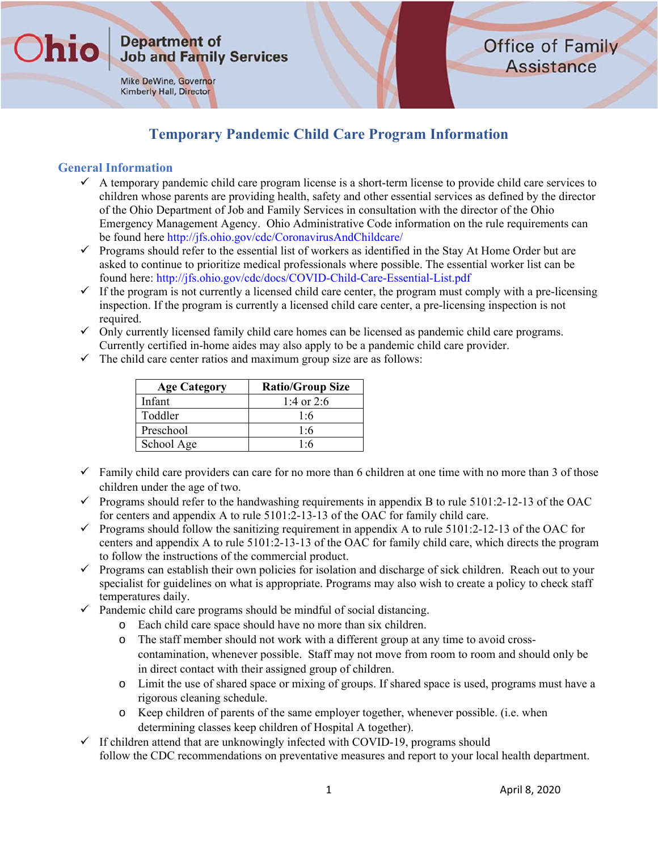Mike DeWine, Governor Kimberly Hall, Director

## **Office of Family Assistance**

## **Temporary Pandemic Child Care Program Information**

#### **General Information**

hic

- $\checkmark$  A temporary pandemic child care program license is a short-term license to provide child care services to children whose parents are providing health, safety and other essential services as defined by the director of the Ohio Department of Job and Family Services in consultation with the director of the Ohio Emergency Management Agency. Ohio Administrative Code information on the rule requirements can be found here http://jfs.ohio.gov/cdc/CoronavirusAndChildcare/
- $\checkmark$  Programs should refer to the essential list of workers as identified in the Stay At Home Order but are asked to continue to prioritize medical professionals where possible. The essential worker list can be found here: http://jfs.ohio.gov/cdc/docs/COVID-Child-Care-Essential-List.pdf
- $\checkmark$  If the program is not currently a licensed child care center, the program must comply with a pre-licensing inspection. If the program is currently a licensed child care center, a pre-licensing inspection is not required.
- $\checkmark$  Only currently licensed family child care homes can be licensed as pandemic child care programs. Currently certified in-home aides may also apply to be a pandemic child care provider.
- $\checkmark$  The child care center ratios and maximum group size are as follows:

| <b>Age Category</b> | <b>Ratio/Group Size</b> |
|---------------------|-------------------------|
| Infant              | 1:4 or 2:6              |
| Toddler             | 1:6                     |
| Preschool           | 1:6                     |
| School Age          | 1:6                     |

- $\checkmark$  Family child care providers can care for no more than 6 children at one time with no more than 3 of those children under the age of two.
- $\checkmark$  Programs should refer to the handwashing requirements in appendix B to rule 5101:2-12-13 of the OAC for centers and appendix A to rule 5101:2-13-13 of the OAC for family child care.
- $\checkmark$  Programs should follow the sanitizing requirement in appendix A to rule 5101:2-12-13 of the OAC for centers and appendix A to rule 5101:2-13-13 of the OAC for family child care, which directs the program to follow the instructions of the commercial product.
- $\checkmark$  Programs can establish their own policies for isolation and discharge of sick children. Reach out to your specialist for guidelines on what is appropriate. Programs may also wish to create a policy to check staff temperatures daily.
- $\checkmark$  Pandemic child care programs should be mindful of social distancing.
	- o Each child care space should have no more than six children.
	- o The staff member should not work with a different group at any time to avoid crosscontamination, whenever possible. Staff may not move from room to room and should only be in direct contact with their assigned group of children.
	- o Limit the use of shared space or mixing of groups. If shared space is used, programs must have a rigorous cleaning schedule.
	- o Keep children of parents of the same employer together, whenever possible. (i.e. when determining classes keep children of Hospital A together).
- $\checkmark$  If children attend that are unknowingly infected with COVID-19, programs should follow the CDC recommendations on preventative measures and report to your local health department.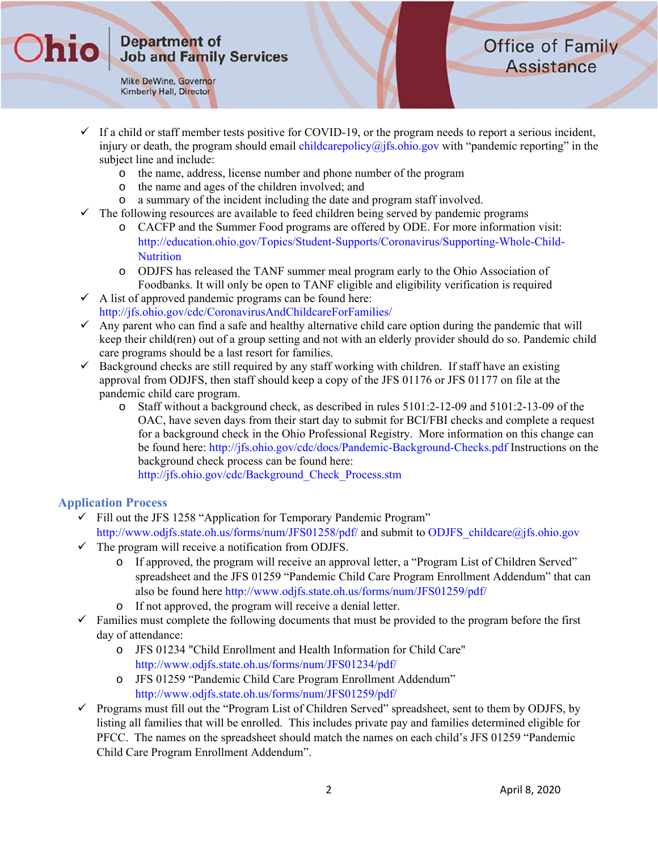Mike DeWine, Governor **Kimberly Hall, Director** 

**)hic** 

## **Office of Family Assistance**

- $\checkmark$  If a child or staff member tests positive for COVID-19, or the program needs to report a serious incident, injury or death, the program should email childcarepolicy $\omega$  ifs. ohio.gov with "pandemic reporting" in the subject line and include:
	- o the name, address, license number and phone number of the program
	- o the name and ages of the children involved; and
	- o a summary of the incident including the date and program staff involved.
- The following resources are available to feed children being served by pandemic programs
	- o CACFP and the Summer Food programs are offered by ODE. For more information visit: http://education.ohio.gov/Topics/Student-Supports/Coronavirus/Supporting-Whole-Child-**Nutrition**
	- o ODJFS has released the TANF summer meal program early to the Ohio Association of Foodbanks. It will only be open to TANF eligible and eligibility verification is required
- $\checkmark$  A list of approved pandemic programs can be found here: http://jfs.ohio.gov/cdc/CoronavirusAndChildcareForFamilies/
- $\checkmark$  Any parent who can find a safe and healthy alternative child care option during the pandemic that will keep their child(ren) out of a group setting and not with an elderly provider should do so. Pandemic child care programs should be a last resort for families.
- $\checkmark$  Background checks are still required by any staff working with children. If staff have an existing approval from ODJFS, then staff should keep a copy of the JFS 01176 or JFS 01177 on file at the pandemic child care program.
	- o Staff without a background check, as described in rules 5101:2-12-09 and 5101:2-13-09 of the OAC, have seven days from their start day to submit for BCI/FBI checks and complete a request for a background check in the Ohio Professional Registry. More information on this change can be found here: http://jfs.ohio.gov/cdc/docs/Pandemic-Background-Checks.pdf Instructions on the background check process can be found here:

http://jfs.ohio.gov/cdc/Background\_Check\_Process.stm

#### **Application Process**

- $\checkmark$  Fill out the JFS 1258 "Application for Temporary Pandemic Program" http://www.odjfs.state.oh.us/forms/num/JFS01258/pdf/ and submit to ODJFS\_childcare@jfs.ohio.gov
- $\checkmark$  The program will receive a notification from ODJFS.
	- o If approved, the program will receive an approval letter, a "Program List of Children Served" spreadsheet and the JFS 01259 "Pandemic Child Care Program Enrollment Addendum" that can also be found here http://www.odjfs.state.oh.us/forms/num/JFS01259/pdf/
	- o If not approved, the program will receive a denial letter.
- $\checkmark$  Families must complete the following documents that must be provided to the program before the first day of attendance:
	- o JFS 01234 "Child Enrollment and Health Information for Child Care" http://www.odjfs.state.oh.us/forms/num/JFS01234/pdf/
	- o JFS 01259 "Pandemic Child Care Program Enrollment Addendum" http://www.odjfs.state.oh.us/forms/num/JFS01259/pdf/
- $\checkmark$  Programs must fill out the "Program List of Children Served" spreadsheet, sent to them by ODJFS, by listing all families that will be enrolled. This includes private pay and families determined eligible for PFCC. The names on the spreadsheet should match the names on each child's JFS 01259 "Pandemic Child Care Program Enrollment Addendum".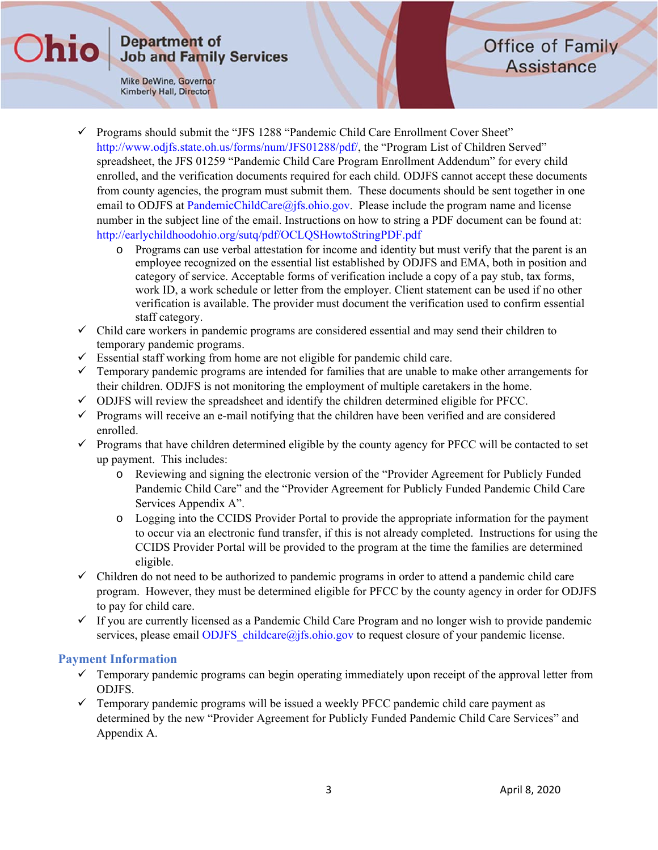Mike DeWine, Governor Kimberly Hall, Director

**Ohio** 

## **Office of Family Assistance**

- $\checkmark$  Programs should submit the "JFS 1288 "Pandemic Child Care Enrollment Cover Sheet" http://www.odjfs.state.oh.us/forms/num/JFS01288/pdf/, the "Program List of Children Served" spreadsheet, the JFS 01259 "Pandemic Child Care Program Enrollment Addendum" for every child enrolled, and the verification documents required for each child. ODJFS cannot accept these documents from county agencies, the program must submit them. These documents should be sent together in one email to ODJFS at PandemicChildCare $\omega$ jfs.ohio.gov. Please include the program name and license number in the subject line of the email. Instructions on how to string a PDF document can be found at: http://earlychildhoodohio.org/sutq/pdf/OCLQSHowtoStringPDF.pdf
	- o Programs can use verbal attestation for income and identity but must verify that the parent is an employee recognized on the essential list established by ODJFS and EMA, both in position and category of service. Acceptable forms of verification include a copy of a pay stub, tax forms, work ID, a work schedule or letter from the employer. Client statement can be used if no other verification is available. The provider must document the verification used to confirm essential staff category.
- $\checkmark$  Child care workers in pandemic programs are considered essential and may send their children to temporary pandemic programs.
- $\checkmark$  Essential staff working from home are not eligible for pandemic child care.
- $\checkmark$  Temporary pandemic programs are intended for families that are unable to make other arrangements for their children. ODJFS is not monitoring the employment of multiple caretakers in the home.
- $\checkmark$  ODJFS will review the spreadsheet and identify the children determined eligible for PFCC.
- $\checkmark$  Programs will receive an e-mail notifying that the children have been verified and are considered enrolled.
- $\checkmark$  Programs that have children determined eligible by the county agency for PFCC will be contacted to set up payment. This includes:
	- o Reviewing and signing the electronic version of the "Provider Agreement for Publicly Funded Pandemic Child Care" and the "Provider Agreement for Publicly Funded Pandemic Child Care Services Appendix A".
	- o Logging into the CCIDS Provider Portal to provide the appropriate information for the payment to occur via an electronic fund transfer, if this is not already completed. Instructions for using the CCIDS Provider Portal will be provided to the program at the time the families are determined eligible.
- $\checkmark$  Children do not need to be authorized to pandemic programs in order to attend a pandemic child care program. However, they must be determined eligible for PFCC by the county agency in order for ODJFS to pay for child care.
- $\checkmark$  If you are currently licensed as a Pandemic Child Care Program and no longer wish to provide pandemic services, please email ODJFS childcare@jfs.ohio.gov to request closure of your pandemic license.

#### **Payment Information**

- $\checkmark$  Temporary pandemic programs can begin operating immediately upon receipt of the approval letter from ODJFS.
- $\checkmark$  Temporary pandemic programs will be issued a weekly PFCC pandemic child care payment as determined by the new "Provider Agreement for Publicly Funded Pandemic Child Care Services" and Appendix A.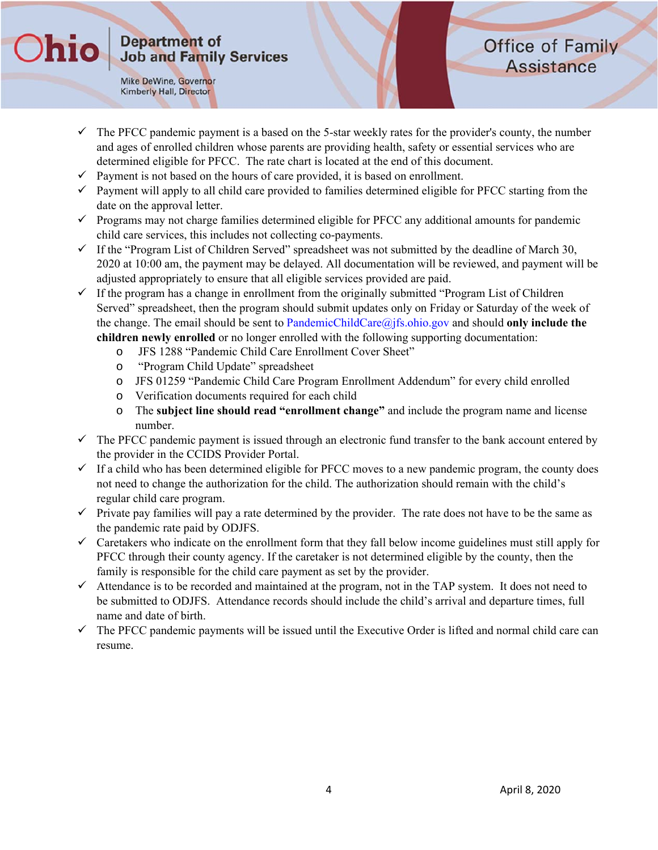Mike DeWine, Governor Kimberly Hall, Director

**Ohio** 

## **Office of Family Assistance**

- $\checkmark$  The PFCC pandemic payment is a based on the 5-star weekly rates for the provider's county, the number and ages of enrolled children whose parents are providing health, safety or essential services who are determined eligible for PFCC. The rate chart is located at the end of this document.
- $\checkmark$  Payment is not based on the hours of care provided, it is based on enrollment.
- $\checkmark$  Payment will apply to all child care provided to families determined eligible for PFCC starting from the date on the approval letter.
- $\checkmark$  Programs may not charge families determined eligible for PFCC any additional amounts for pandemic child care services, this includes not collecting co-payments.
- $\checkmark$  If the "Program List of Children Served" spreadsheet was not submitted by the deadline of March 30, 2020 at 10:00 am, the payment may be delayed. All documentation will be reviewed, and payment will be adjusted appropriately to ensure that all eligible services provided are paid.
- $\checkmark$  If the program has a change in enrollment from the originally submitted "Program List of Children" Served" spreadsheet, then the program should submit updates only on Friday or Saturday of the week of the change. The email should be sent to PandemicChildCare@jfs.ohio.gov and should **only include the children newly enrolled** or no longer enrolled with the following supporting documentation:
	- o JFS 1288 "Pandemic Child Care Enrollment Cover Sheet"
	- o "Program Child Update" spreadsheet
	- o JFS 01259 "Pandemic Child Care Program Enrollment Addendum" for every child enrolled
	- o Verification documents required for each child
	- o The **subject line should read "enrollment change"** and include the program name and license number.
- $\checkmark$  The PFCC pandemic payment is issued through an electronic fund transfer to the bank account entered by the provider in the CCIDS Provider Portal.
- $\checkmark$  If a child who has been determined eligible for PFCC moves to a new pandemic program, the county does not need to change the authorization for the child. The authorization should remain with the child's regular child care program.
- $\checkmark$  Private pay families will pay a rate determined by the provider. The rate does not have to be the same as the pandemic rate paid by ODJFS.
- $\checkmark$  Caretakers who indicate on the enrollment form that they fall below income guidelines must still apply for PFCC through their county agency. If the caretaker is not determined eligible by the county, then the family is responsible for the child care payment as set by the provider.
- $\checkmark$  Attendance is to be recorded and maintained at the program, not in the TAP system. It does not need to be submitted to ODJFS. Attendance records should include the child's arrival and departure times, full name and date of birth.
- $\checkmark$  The PFCC pandemic payments will be issued until the Executive Order is lifted and normal child care can resume.